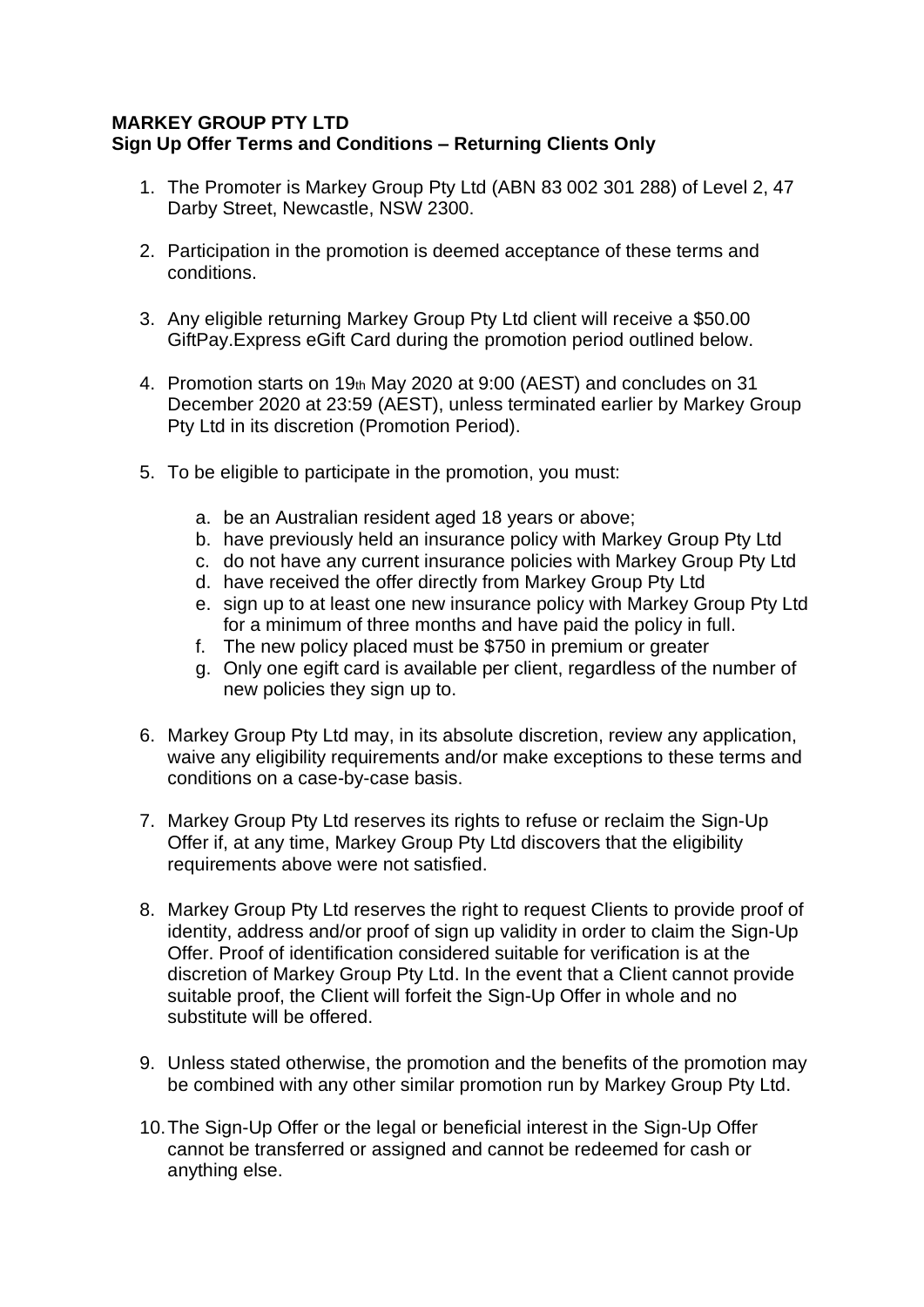## **MARKEY GROUP PTY LTD Sign Up Offer Terms and Conditions – Returning Clients Only**

- 1. The Promoter is Markey Group Pty Ltd (ABN 83 002 301 288) of Level 2, 47 Darby Street, Newcastle, NSW 2300.
- 2. Participation in the promotion is deemed acceptance of these terms and conditions.
- 3. Any eligible returning Markey Group Pty Ltd client will receive a \$50.00 GiftPay.Express eGift Card during the promotion period outlined below.
- 4. Promotion starts on 19th May 2020 at 9:00 (AEST) and concludes on 31 December 2020 at 23:59 (AEST), unless terminated earlier by Markey Group Pty Ltd in its discretion (Promotion Period).
- 5. To be eligible to participate in the promotion, you must:
	- a. be an Australian resident aged 18 years or above;
	- b. have previously held an insurance policy with Markey Group Pty Ltd
	- c. do not have any current insurance policies with Markey Group Pty Ltd
	- d. have received the offer directly from Markey Group Pty Ltd
	- e. sign up to at least one new insurance policy with Markey Group Pty Ltd for a minimum of three months and have paid the policy in full.
	- f. The new policy placed must be \$750 in premium or greater
	- g. Only one egift card is available per client, regardless of the number of new policies they sign up to.
- 6. Markey Group Pty Ltd may, in its absolute discretion, review any application, waive any eligibility requirements and/or make exceptions to these terms and conditions on a case-by-case basis.
- 7. Markey Group Pty Ltd reserves its rights to refuse or reclaim the Sign-Up Offer if, at any time, Markey Group Pty Ltd discovers that the eligibility requirements above were not satisfied.
- 8. Markey Group Pty Ltd reserves the right to request Clients to provide proof of identity, address and/or proof of sign up validity in order to claim the Sign-Up Offer. Proof of identification considered suitable for verification is at the discretion of Markey Group Pty Ltd. In the event that a Client cannot provide suitable proof, the Client will forfeit the Sign-Up Offer in whole and no substitute will be offered.
- 9. Unless stated otherwise, the promotion and the benefits of the promotion may be combined with any other similar promotion run by Markey Group Pty Ltd.
- 10.The Sign-Up Offer or the legal or beneficial interest in the Sign-Up Offer cannot be transferred or assigned and cannot be redeemed for cash or anything else.